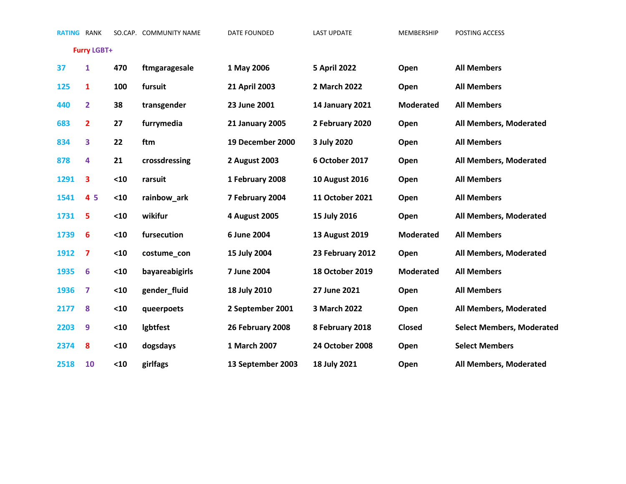**Furry LGBT+**

| 37   | $\mathbf{1}$   | 470  | ftmgaragesale   | 1 May 2006              | <b>5 April 2022</b>    | Open             | <b>All Members</b>               |
|------|----------------|------|-----------------|-------------------------|------------------------|------------------|----------------------------------|
| 125  | $\mathbf{1}$   | 100  | fursuit         | 21 April 2003           | 2 March 2022           | Open             | <b>All Members</b>               |
| 440  | $\overline{2}$ | 38   | transgender     | 23 June 2001            | <b>14 January 2021</b> | <b>Moderated</b> | <b>All Members</b>               |
| 683  | $\overline{2}$ | 27   | furrymedia      | <b>21 January 2005</b>  | 2 February 2020        | Open             | All Members, Moderated           |
| 834  | 3              | 22   | ftm             | <b>19 December 2000</b> | 3 July 2020            | Open             | <b>All Members</b>               |
| 878  | 4              | 21   | crossdressing   | 2 August 2003           | 6 October 2017         | Open             | All Members, Moderated           |
| 1291 | 3              | $10$ | rarsuit         | 1 February 2008         | <b>10 August 2016</b>  | Open             | <b>All Members</b>               |
| 1541 | 4 5            | $10$ | rainbow_ark     | 7 February 2004         | 11 October 2021        | Open             | <b>All Members</b>               |
| 1731 | 5              | $10$ | wikifur         | 4 August 2005           | 15 July 2016           | Open             | All Members, Moderated           |
| 1739 | 6              | $10$ | fursecution     | 6 June 2004             | <b>13 August 2019</b>  | <b>Moderated</b> | <b>All Members</b>               |
| 1912 | 7              | $10$ | costume_con     | 15 July 2004            | 23 February 2012       | Open             | All Members, Moderated           |
| 1935 | 6              | $10$ | bayareabigirls  | 7 June 2004             | 18 October 2019        | <b>Moderated</b> | <b>All Members</b>               |
| 1936 | 7              | $10$ | gender_fluid    | 18 July 2010            | 27 June 2021           | Open             | <b>All Members</b>               |
| 2177 | 8              | $10$ | queerpoets      | 2 September 2001        | 3 March 2022           | Open             | All Members, Moderated           |
| 2203 | 9              | $10$ | <b>Igbtfest</b> | 26 February 2008        | 8 February 2018        | Closed           | <b>Select Members, Moderated</b> |
| 2374 | 8              | $10$ | dogsdays        | 1 March 2007            | <b>24 October 2008</b> | Open             | <b>Select Members</b>            |
| 2518 | 10             | $10$ | girlfags        | 13 September 2003       | 18 July 2021           | Open             | All Members, Moderated           |